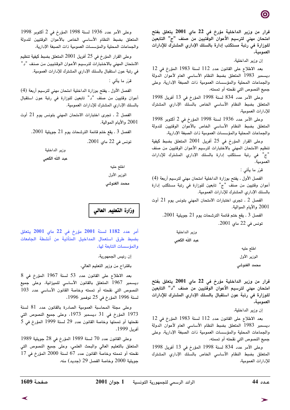قرار من وزير الداخلية مؤرخ فى 22 ماي 2001 يتعلق بفتح امتحان مهنى لترسيم الأعوان الوقتيين من صنف "ج" التابعين للوزارة في رتبة مستكتب إدارة بالسلك الإداري المشترك للإدارات العمومية.

إن وزير الداخلية،

بعد الاطلاع على القانون عدد 112 لسنة 1983 المؤرخ فى 12 ديسمبر 1983 المتعلق بضبط النظام الأساسى العام لأعوان الدولة والجماعات المحلية والمؤسسات العمومية ذات الصبغة الإدارية، وعلى جميع النصوص التي نقحته أو تممته،

وعلى الأمر عدد 834 لسنة 1998 المؤرخ في 13 أفريل 1998 المتعلق بضبط النظام الأساسى الخاص بالسلك الإدارى المشترك للإدارات العمومية،

وعلى الأمر عدد 1936 لسنة 1998 المؤرخ في 2 أكتوبر 1998 المتعلق بضبط النظام الأساسى الخاص بالأعوان الوقتيين للدولة والجماعات المحلية والمؤسسات العمومية ذات الصبغة الإدارية،

وعلى القرار المؤرخ في 25 أفريل 2001 المتعلق بضبط كيفية تنظيم الامتحان المهنى بالاختبارات لترسيم الأعوان الوقتيين من صنف "ج" في رتبة مستكتب إدارة بالسلك الإداري المشترك للإدارات العمومية.

الفصل الأول . يفتح بوزارة الداخلية امتحان مهنى لترسيم أربعة (4) أعوان وقتيين من صنّف "ج" تابعين للوزارة في رتبة مستكتب إدارة بالسلك الإدارى المشترك للإدارات العمومية.

الفصل 2 ـ تجرى اختبارات الامتحان المهنى بتونس يوم 21 أوت 2001 والأيام الموالية.

الفصل 3 ـ يقع ختم قائمة الترشحات يوم 21 جويلية 2001. تونس فى 22 ماي 2001.

> وزير الداخلية عبد اللّه الكعبى

> > اطلع عليه

الوزير الأول

محمد الغنوشي

قرار من وزير الداخلية مؤرخ في 22 ماي 2001 يتعلق بفتح امتحان مهني لترسيم الأعوان الوقتيين من صنف "د" التابعين للوزارة فى رتبة عون استقبال بالسلك الإداري المشترك للإدارات العمومية.

إن وزير الداخلية،

بعد الاطلاع على القانون عدد 112 لسنة 1983 المؤرخ في 12 ديسمبر 1983 المتعلق بضبط النظام الأساسي العام لأعوان الدولة والجماعات المحلية والمؤسسات العمومية ذات الصبغة الإدارية، وعلى جميع النصوص التي نقحته أو تممته،

وعلى الأمر عدد 834 لسنة 1998 المؤرخ في 13 أفريل 1998 المتعلق بضبط النظام الأساسى الخاص بالسلك الإداري المشترك للادارات العمومية،

وعلى الأمر عدد 1936 لسنة 1998 المؤرخ في 2 أكتوبر 1998 المتعلق بضبط النظام الأساسى الخاص بالأعوان الوقتيين للدولة والجماعات المحلية والمؤسسات العمومية ذات الصبغة الإدارية،

وعلى القرار المؤرخ في 25 أفريل 2001 المتعلق بضبط كيفية تنظيم الامتحان المهني بالاختبارات لترسيم الأعوان الوقتيين من صنف "د" في رتبة عون استقبال بالسلك الإداري المشترك للإدارات العمومية.

قرّر ما يأتي :

الفصل الأول . يفتح بوزارة الداخلية امتحان مهنى لترسيم أربعة (4) أعوان وقتيين من صنف "د" تابعين للوزارة في رتبة عون استقبال بالسلك الإداري المشترك للإدارات العمومية.

الفصل 2 . تجرى اختبارات الامتحان المهنى بتونس يوم 21 أوت 2001 والأيام الموالية.

الفصل 3 . يقع ختم قائمة الترشحات يوم 21 جويلية 2001.

تونس في 22 ماي 2001.

وزير الداخلية عبد اللّه الكعبي

> اطلع عليه الوزير الأول محمد الغنوشى

وزارة التعليم العالى

أمر عدد 1182 لسنة 2001 مؤرخ في 22 ماي 2001 يتعلق بضبط طرق استعمال المداخيل المتأتية من أنشطة الجامعات والمؤسسات التابعة لها.

إن رئيس الجمهورية،

باقتراح من وزير التعليم العالي،

بعد الاطلاع على القانون عدد 53 لسنة 1967 المؤرخ في 8 ديسمبر 1967 المتعلق بالقانون الأساسي للميزانية، وعلى جميع النصوص التي نقحته أو تممته وخاصة القانون الأساسي عدد 103 لسنة 1996 المؤرخ في 25 نوفمبر 1996،

وعلى مجلة المحاسبة العمومية الصادرة بالقانون عدد 81 لسنة 1973 المؤرخ في 31 ديسمبر 1973، وعلى جميع النصوص التي نقحتها أو تممتها وخاصة القانون عدد 29 لسنة 1999 المؤرخ في 5 أفريل 1999.

وعلى القانون عدد 70 لسنة 1989 المؤرخ في 28 جويلية 1989 المتعلق بالتعليم العالي والبحث العلمي، وعلى جميع النصوص التي  $17$  نقحته أو تممته وخاصة القانون عدد 67 لسنة 2000 المؤرخ في 17 جويلية 2000 وخاصة الفصل 29 (جديد) منه،

قرَر ما يأتي :